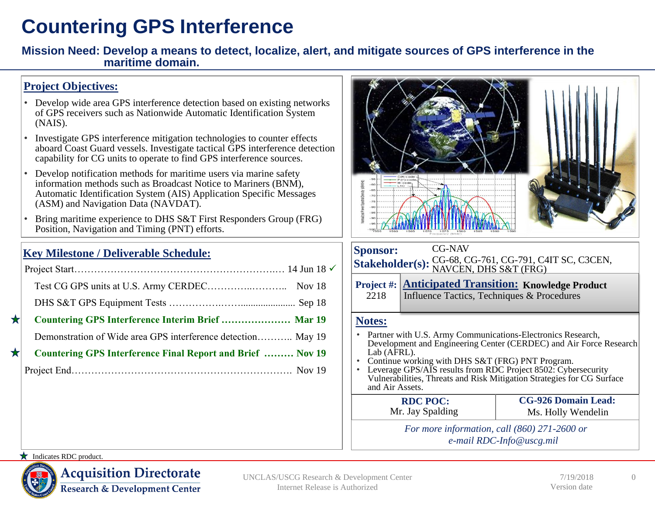## **Countering GPS Interference**

**Mission Need: Develop a means to detect, localize, alert, and mitigate sources of GPS interference in the maritime domain.** 

### **Project Objectives:**

- Develop wide area GPS interference detection based on existing networks of GPS receivers such as Nationwide Automatic Identification System (NAIS).
- Investigate GPS interference mitigation technologies to counter effects aboard Coast Guard vessels. Investigate tactical GPS interference detection capability for CG units to operate to find GPS interference sources.
- Develop notification methods for maritime users via marine safety information methods such as Broadcast Notice to Mariners (BNM), Automatic Identification System (AIS) Application Specific Messages (ASM) and Navigation Data (NAVDAT).
- Bring maritime experience to DHS S&T First Responders Group (FRG) Position, Navigation and Timing (PNT) efforts.

### **Key Milestone / Deliverable Schedule:**

| ★ | Countering GPS Interference Interim Brief  Mar 19                 |  |
|---|-------------------------------------------------------------------|--|
|   | Demonstration of Wide area GPS interference detection May 19      |  |
|   | <b>Countering GPS Interference Final Report and Brief  Nov 19</b> |  |
|   |                                                                   |  |
|   |                                                                   |  |



*e-mail RDC-Info@uscg.mil*

#### Indicates RDC product.



**Acquisition Directorate Research & Development Center** 

UNCLAS/USCG Research & Development Center Internet Release is Authorized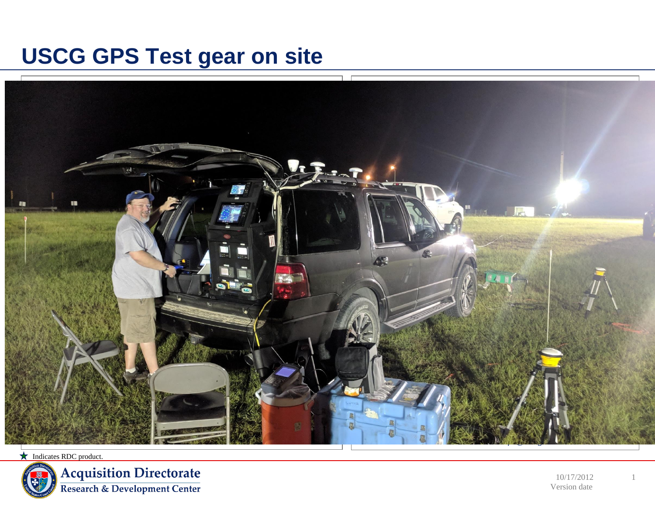# **USCG GPS Test gear on site**